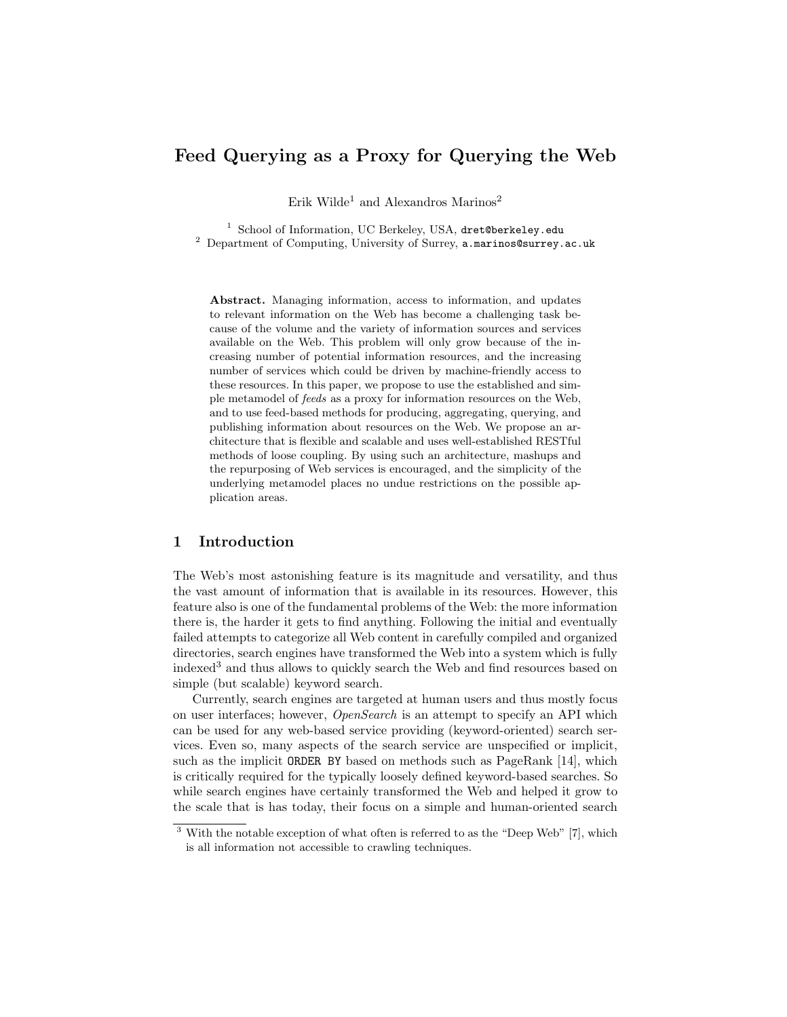# Feed Querying as a Proxy for Querying the Web

Erik Wilde<sup>1</sup> and Alexandros Marinos<sup>2</sup>

 $1$  School of Information, UC Berkeley, USA, dret@berkeley.edu <sup>2</sup> Department of Computing, University of Surrey, a.marinos@surrey.ac.uk

Abstract. Managing information, access to information, and updates to relevant information on the Web has become a challenging task because of the volume and the variety of information sources and services available on the Web. This problem will only grow because of the increasing number of potential information resources, and the increasing number of services which could be driven by machine-friendly access to these resources. In this paper, we propose to use the established and simple metamodel of feeds as a proxy for information resources on the Web, and to use feed-based methods for producing, aggregating, querying, and publishing information about resources on the Web. We propose an architecture that is flexible and scalable and uses well-established RESTful methods of loose coupling. By using such an architecture, mashups and the repurposing of Web services is encouraged, and the simplicity of the underlying metamodel places no undue restrictions on the possible application areas.

### 1 Introduction

The Web's most astonishing feature is its magnitude and versatility, and thus the vast amount of information that is available in its resources. However, this feature also is one of the fundamental problems of the Web: the more information there is, the harder it gets to find anything. Following the initial and eventually failed attempts to categorize all Web content in carefully compiled and organized directories, search engines have transformed the Web into a system which is fully indexed<sup>3</sup> and thus allows to quickly search the Web and find resources based on simple (but scalable) keyword search.

Currently, search engines are targeted at human users and thus mostly focus on user interfaces; however, OpenSearch is an attempt to specify an API which can be used for any web-based service providing (keyword-oriented) search services. Even so, many aspects of the search service are unspecified or implicit, such as the implicit ORDER BY based on methods such as PageRank [14], which is critically required for the typically loosely defined keyword-based searches. So while search engines have certainly transformed the Web and helped it grow to the scale that is has today, their focus on a simple and human-oriented search

<sup>&</sup>lt;sup>3</sup> With the notable exception of what often is referred to as the "Deep Web" [7], which is all information not accessible to crawling techniques.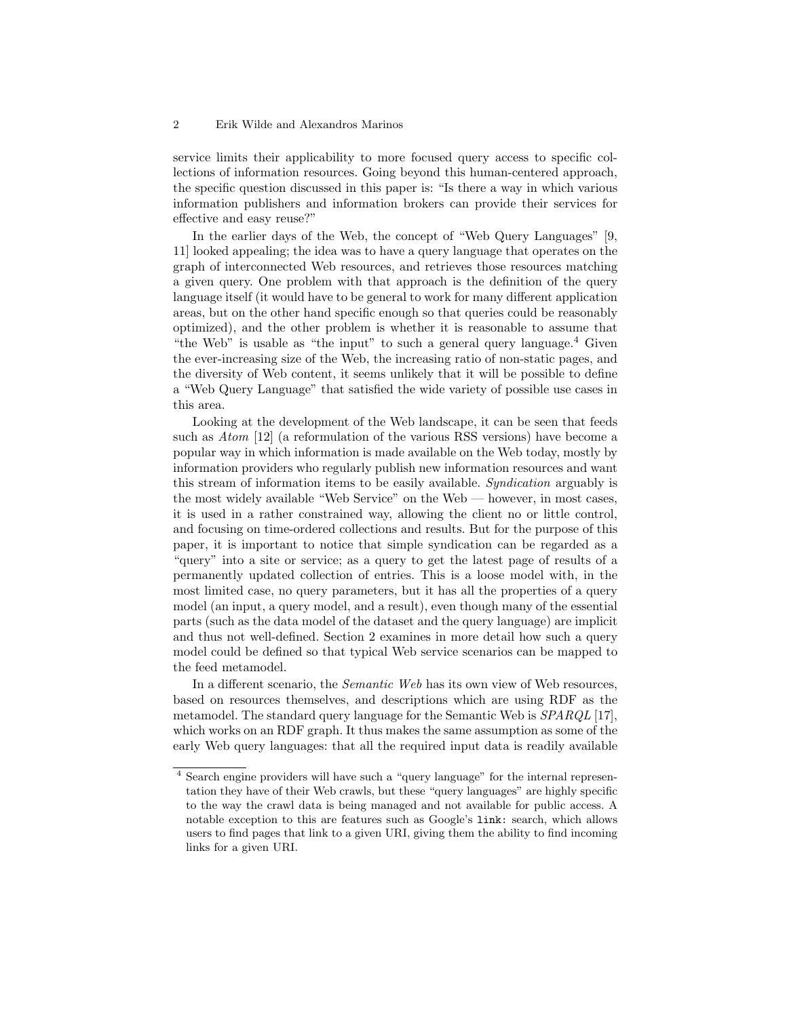service limits their applicability to more focused query access to specific collections of information resources. Going beyond this human-centered approach, the specific question discussed in this paper is: "Is there a way in which various information publishers and information brokers can provide their services for effective and easy reuse?"

In the earlier days of the Web, the concept of "Web Query Languages" [9, 11] looked appealing; the idea was to have a query language that operates on the graph of interconnected Web resources, and retrieves those resources matching a given query. One problem with that approach is the definition of the query language itself (it would have to be general to work for many different application areas, but on the other hand specific enough so that queries could be reasonably optimized), and the other problem is whether it is reasonable to assume that "the Web" is usable as "the input" to such a general query language. $4$  Given the ever-increasing size of the Web, the increasing ratio of non-static pages, and the diversity of Web content, it seems unlikely that it will be possible to define a "Web Query Language" that satisfied the wide variety of possible use cases in this area.

Looking at the development of the Web landscape, it can be seen that feeds such as Atom [12] (a reformulation of the various RSS versions) have become a popular way in which information is made available on the Web today, mostly by information providers who regularly publish new information resources and want this stream of information items to be easily available. Syndication arguably is the most widely available "Web Service" on the Web — however, in most cases, it is used in a rather constrained way, allowing the client no or little control, and focusing on time-ordered collections and results. But for the purpose of this paper, it is important to notice that simple syndication can be regarded as a "query" into a site or service; as a query to get the latest page of results of a permanently updated collection of entries. This is a loose model with, in the most limited case, no query parameters, but it has all the properties of a query model (an input, a query model, and a result), even though many of the essential parts (such as the data model of the dataset and the query language) are implicit and thus not well-defined. Section 2 examines in more detail how such a query model could be defined so that typical Web service scenarios can be mapped to the feed metamodel.

In a different scenario, the *Semantic Web* has its own view of Web resources, based on resources themselves, and descriptions which are using RDF as the metamodel. The standard query language for the Semantic Web is *SPARQL* [17], which works on an RDF graph. It thus makes the same assumption as some of the early Web query languages: that all the required input data is readily available

<sup>4</sup> Search engine providers will have such a "query language" for the internal representation they have of their Web crawls, but these "query languages" are highly specific to the way the crawl data is being managed and not available for public access. A notable exception to this are features such as Google's link: search, which allows users to find pages that link to a given URI, giving them the ability to find incoming links for a given URI.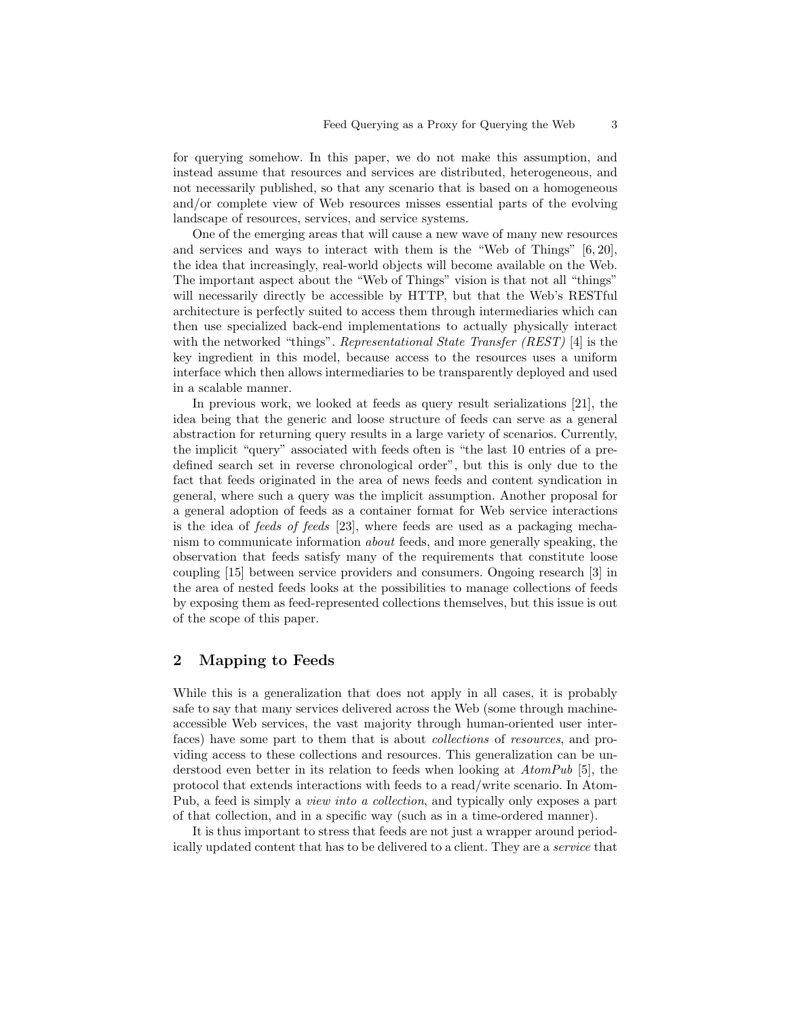for querying somehow. In this paper, we do not make this assumption, and instead assume that resources and services are distributed, heterogeneous, and not necessarily published, so that any scenario that is based on a homogeneous and/or complete view of Web resources misses essential parts of the evolving landscape of resources, services, and service systems.

One of the emerging areas that will cause a new wave of many new resources and services and ways to interact with them is the "Web of Things" [6, 20], the idea that increasingly, real-world objects will become available on the Web. The important aspect about the "Web of Things" vision is that not all "things" will necessarily directly be accessible by HTTP, but that the Web's RESTful architecture is perfectly suited to access them through intermediaries which can then use specialized back-end implementations to actually physically interact with the networked "things". Representational State Transfer (REST) [4] is the key ingredient in this model, because access to the resources uses a uniform interface which then allows intermediaries to be transparently deployed and used in a scalable manner.

In previous work, we looked at feeds as query result serializations [21], the idea being that the generic and loose structure of feeds can serve as a general abstraction for returning query results in a large variety of scenarios. Currently, the implicit "query" associated with feeds often is "the last 10 entries of a predefined search set in reverse chronological order", but this is only due to the fact that feeds originated in the area of news feeds and content syndication in general, where such a query was the implicit assumption. Another proposal for a general adoption of feeds as a container format for Web service interactions is the idea of feeds of feeds [23], where feeds are used as a packaging mechanism to communicate information about feeds, and more generally speaking, the observation that feeds satisfy many of the requirements that constitute loose coupling [15] between service providers and consumers. Ongoing research [3] in the area of nested feeds looks at the possibilities to manage collections of feeds by exposing them as feed-represented collections themselves, but this issue is out of the scope of this paper.

### 2 Mapping to Feeds

While this is a generalization that does not apply in all cases, it is probably safe to say that many services delivered across the Web (some through machineaccessible Web services, the vast majority through human-oriented user interfaces) have some part to them that is about collections of resources, and providing access to these collections and resources. This generalization can be understood even better in its relation to feeds when looking at AtomPub [5], the protocol that extends interactions with feeds to a read/write scenario. In Atom-Pub, a feed is simply a view into a collection, and typically only exposes a part of that collection, and in a specific way (such as in a time-ordered manner).

It is thus important to stress that feeds are not just a wrapper around periodically updated content that has to be delivered to a client. They are a service that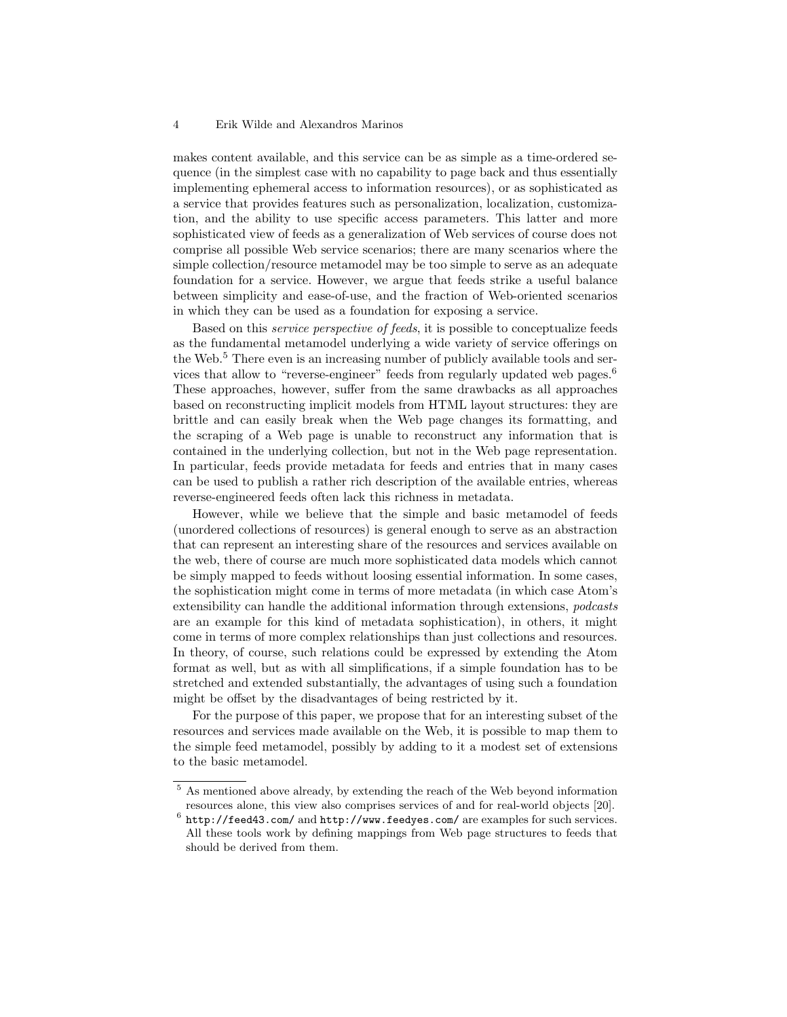makes content available, and this service can be as simple as a time-ordered sequence (in the simplest case with no capability to page back and thus essentially implementing ephemeral access to information resources), or as sophisticated as a service that provides features such as personalization, localization, customization, and the ability to use specific access parameters. This latter and more sophisticated view of feeds as a generalization of Web services of course does not comprise all possible Web service scenarios; there are many scenarios where the simple collection/resource metamodel may be too simple to serve as an adequate foundation for a service. However, we argue that feeds strike a useful balance between simplicity and ease-of-use, and the fraction of Web-oriented scenarios in which they can be used as a foundation for exposing a service.

Based on this service perspective of feeds, it is possible to conceptualize feeds as the fundamental metamodel underlying a wide variety of service offerings on the Web.<sup>5</sup> There even is an increasing number of publicly available tools and services that allow to "reverse-engineer" feeds from regularly updated web pages.<sup>6</sup> These approaches, however, suffer from the same drawbacks as all approaches based on reconstructing implicit models from HTML layout structures: they are brittle and can easily break when the Web page changes its formatting, and the scraping of a Web page is unable to reconstruct any information that is contained in the underlying collection, but not in the Web page representation. In particular, feeds provide metadata for feeds and entries that in many cases can be used to publish a rather rich description of the available entries, whereas reverse-engineered feeds often lack this richness in metadata.

However, while we believe that the simple and basic metamodel of feeds (unordered collections of resources) is general enough to serve as an abstraction that can represent an interesting share of the resources and services available on the web, there of course are much more sophisticated data models which cannot be simply mapped to feeds without loosing essential information. In some cases, the sophistication might come in terms of more metadata (in which case Atom's extensibility can handle the additional information through extensions, podcasts are an example for this kind of metadata sophistication), in others, it might come in terms of more complex relationships than just collections and resources. In theory, of course, such relations could be expressed by extending the Atom format as well, but as with all simplifications, if a simple foundation has to be stretched and extended substantially, the advantages of using such a foundation might be offset by the disadvantages of being restricted by it.

For the purpose of this paper, we propose that for an interesting subset of the resources and services made available on the Web, it is possible to map them to the simple feed metamodel, possibly by adding to it a modest set of extensions to the basic metamodel.

<sup>5</sup> As mentioned above already, by extending the reach of the Web beyond information resources alone, this view also comprises services of and for real-world objects [20].

 $^6$  http://feed43.com/ and http://www.feedyes.com/ are examples for such services. All these tools work by defining mappings from Web page structures to feeds that should be derived from them.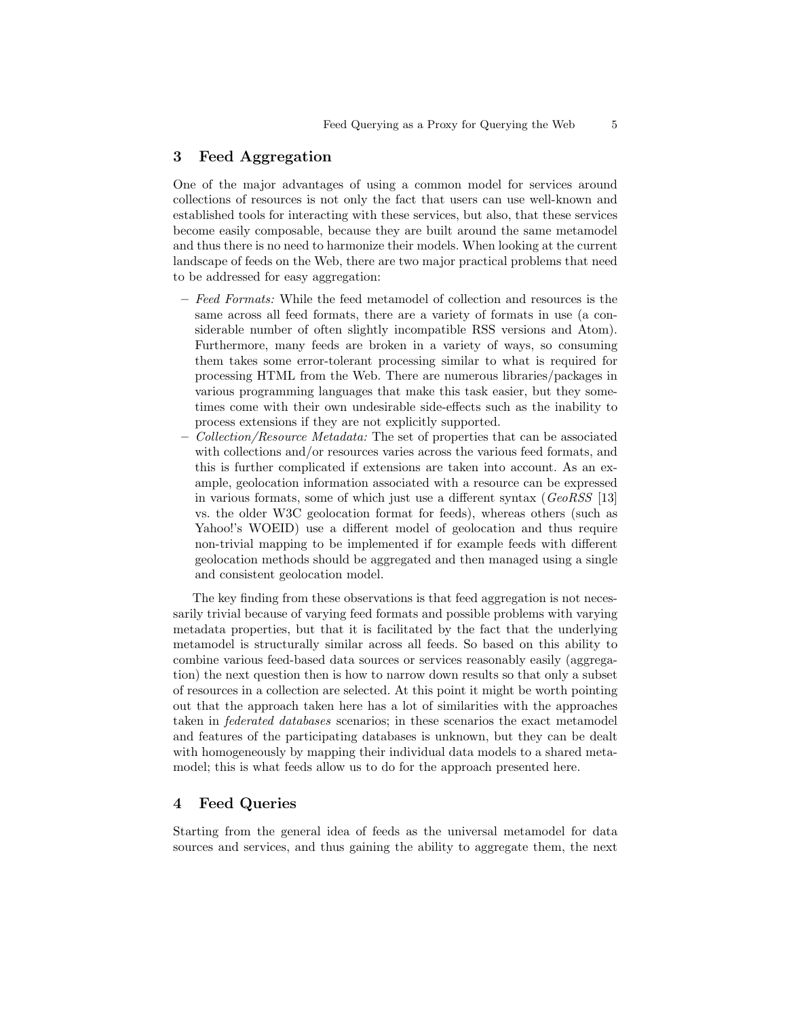#### 3 Feed Aggregation

One of the major advantages of using a common model for services around collections of resources is not only the fact that users can use well-known and established tools for interacting with these services, but also, that these services become easily composable, because they are built around the same metamodel and thus there is no need to harmonize their models. When looking at the current landscape of feeds on the Web, there are two major practical problems that need to be addressed for easy aggregation:

- Feed Formats: While the feed metamodel of collection and resources is the same across all feed formats, there are a variety of formats in use (a considerable number of often slightly incompatible RSS versions and Atom). Furthermore, many feeds are broken in a variety of ways, so consuming them takes some error-tolerant processing similar to what is required for processing HTML from the Web. There are numerous libraries/packages in various programming languages that make this task easier, but they sometimes come with their own undesirable side-effects such as the inability to process extensions if they are not explicitly supported.
- Collection/Resource Metadata: The set of properties that can be associated with collections and/or resources varies across the various feed formats, and this is further complicated if extensions are taken into account. As an example, geolocation information associated with a resource can be expressed in various formats, some of which just use a different syntax ( $GeoRSS$  [13] vs. the older W3C geolocation format for feeds), whereas others (such as Yahoo!'s WOEID) use a different model of geolocation and thus require non-trivial mapping to be implemented if for example feeds with different geolocation methods should be aggregated and then managed using a single and consistent geolocation model.

The key finding from these observations is that feed aggregation is not necessarily trivial because of varying feed formats and possible problems with varying metadata properties, but that it is facilitated by the fact that the underlying metamodel is structurally similar across all feeds. So based on this ability to combine various feed-based data sources or services reasonably easily (aggregation) the next question then is how to narrow down results so that only a subset of resources in a collection are selected. At this point it might be worth pointing out that the approach taken here has a lot of similarities with the approaches taken in federated databases scenarios; in these scenarios the exact metamodel and features of the participating databases is unknown, but they can be dealt with homogeneously by mapping their individual data models to a shared metamodel; this is what feeds allow us to do for the approach presented here.

## 4 Feed Queries

Starting from the general idea of feeds as the universal metamodel for data sources and services, and thus gaining the ability to aggregate them, the next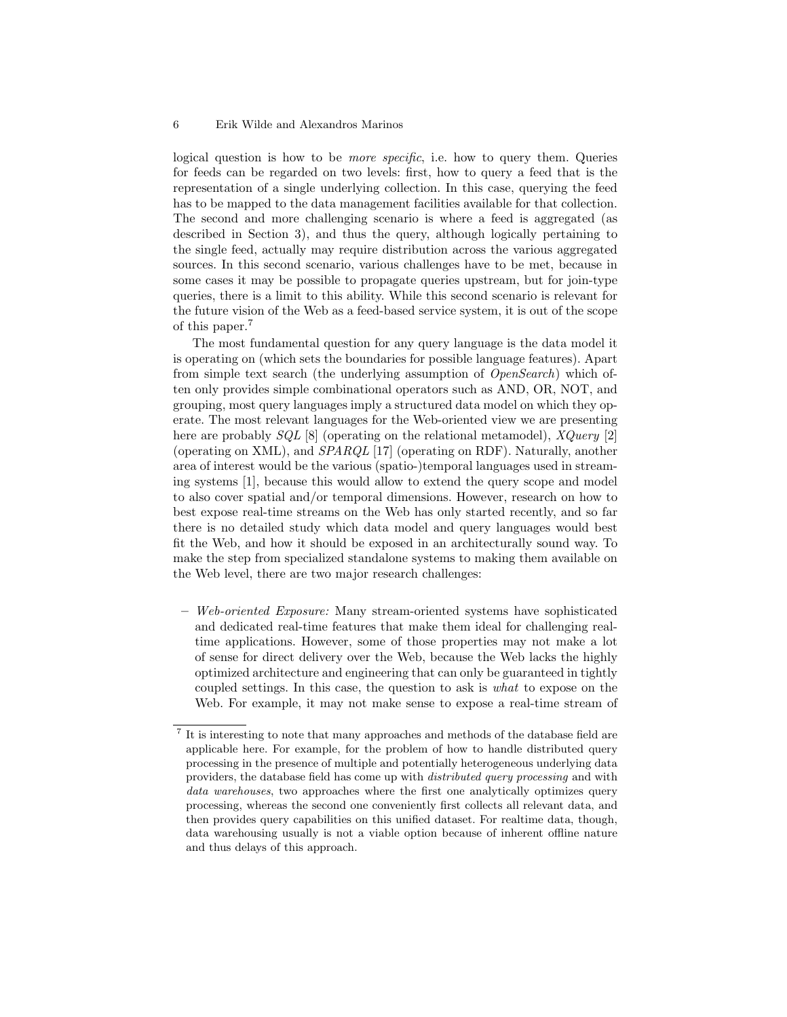logical question is how to be *more specific*, i.e. how to query them. Queries for feeds can be regarded on two levels: first, how to query a feed that is the representation of a single underlying collection. In this case, querying the feed has to be mapped to the data management facilities available for that collection. The second and more challenging scenario is where a feed is aggregated (as described in Section 3), and thus the query, although logically pertaining to the single feed, actually may require distribution across the various aggregated sources. In this second scenario, various challenges have to be met, because in some cases it may be possible to propagate queries upstream, but for join-type queries, there is a limit to this ability. While this second scenario is relevant for the future vision of the Web as a feed-based service system, it is out of the scope of this paper.<sup>7</sup>

The most fundamental question for any query language is the data model it is operating on (which sets the boundaries for possible language features). Apart from simple text search (the underlying assumption of OpenSearch) which often only provides simple combinational operators such as AND, OR, NOT, and grouping, most query languages imply a structured data model on which they operate. The most relevant languages for the Web-oriented view we are presenting here are probably  $SQL$  [8] (operating on the relational metamodel),  $XQuery$  [2] (operating on XML), and SPARQL [17] (operating on RDF). Naturally, another area of interest would be the various (spatio-)temporal languages used in streaming systems [1], because this would allow to extend the query scope and model to also cover spatial and/or temporal dimensions. However, research on how to best expose real-time streams on the Web has only started recently, and so far there is no detailed study which data model and query languages would best fit the Web, and how it should be exposed in an architecturally sound way. To make the step from specialized standalone systems to making them available on the Web level, there are two major research challenges:

– Web-oriented Exposure: Many stream-oriented systems have sophisticated and dedicated real-time features that make them ideal for challenging realtime applications. However, some of those properties may not make a lot of sense for direct delivery over the Web, because the Web lacks the highly optimized architecture and engineering that can only be guaranteed in tightly coupled settings. In this case, the question to ask is what to expose on the Web. For example, it may not make sense to expose a real-time stream of

<sup>&</sup>lt;sup>7</sup> It is interesting to note that many approaches and methods of the database field are applicable here. For example, for the problem of how to handle distributed query processing in the presence of multiple and potentially heterogeneous underlying data providers, the database field has come up with distributed query processing and with data warehouses, two approaches where the first one analytically optimizes query processing, whereas the second one conveniently first collects all relevant data, and then provides query capabilities on this unified dataset. For realtime data, though, data warehousing usually is not a viable option because of inherent offline nature and thus delays of this approach.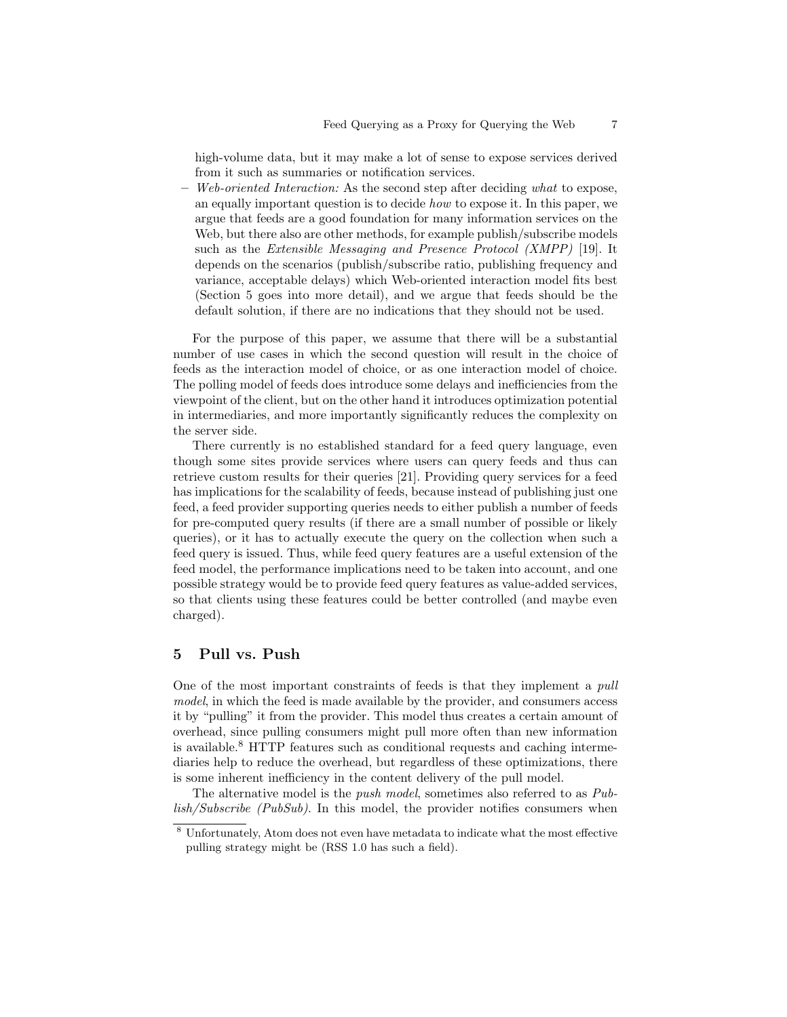high-volume data, but it may make a lot of sense to expose services derived from it such as summaries or notification services.

– Web-oriented Interaction: As the second step after deciding what to expose, an equally important question is to decide how to expose it. In this paper, we argue that feeds are a good foundation for many information services on the Web, but there also are other methods, for example publish/subscribe models such as the Extensible Messaging and Presence Protocol (XMPP) [19]. It depends on the scenarios (publish/subscribe ratio, publishing frequency and variance, acceptable delays) which Web-oriented interaction model fits best (Section 5 goes into more detail), and we argue that feeds should be the default solution, if there are no indications that they should not be used.

For the purpose of this paper, we assume that there will be a substantial number of use cases in which the second question will result in the choice of feeds as the interaction model of choice, or as one interaction model of choice. The polling model of feeds does introduce some delays and inefficiencies from the viewpoint of the client, but on the other hand it introduces optimization potential in intermediaries, and more importantly significantly reduces the complexity on the server side.

There currently is no established standard for a feed query language, even though some sites provide services where users can query feeds and thus can retrieve custom results for their queries [21]. Providing query services for a feed has implications for the scalability of feeds, because instead of publishing just one feed, a feed provider supporting queries needs to either publish a number of feeds for pre-computed query results (if there are a small number of possible or likely queries), or it has to actually execute the query on the collection when such a feed query is issued. Thus, while feed query features are a useful extension of the feed model, the performance implications need to be taken into account, and one possible strategy would be to provide feed query features as value-added services, so that clients using these features could be better controlled (and maybe even charged).

### 5 Pull vs. Push

One of the most important constraints of feeds is that they implement a pull model, in which the feed is made available by the provider, and consumers access it by "pulling" it from the provider. This model thus creates a certain amount of overhead, since pulling consumers might pull more often than new information is available.<sup>8</sup> HTTP features such as conditional requests and caching intermediaries help to reduce the overhead, but regardless of these optimizations, there is some inherent inefficiency in the content delivery of the pull model.

The alternative model is the push model, sometimes also referred to as Publish/Subscribe (PubSub). In this model, the provider notifies consumers when

<sup>8</sup> Unfortunately, Atom does not even have metadata to indicate what the most effective pulling strategy might be (RSS 1.0 has such a field).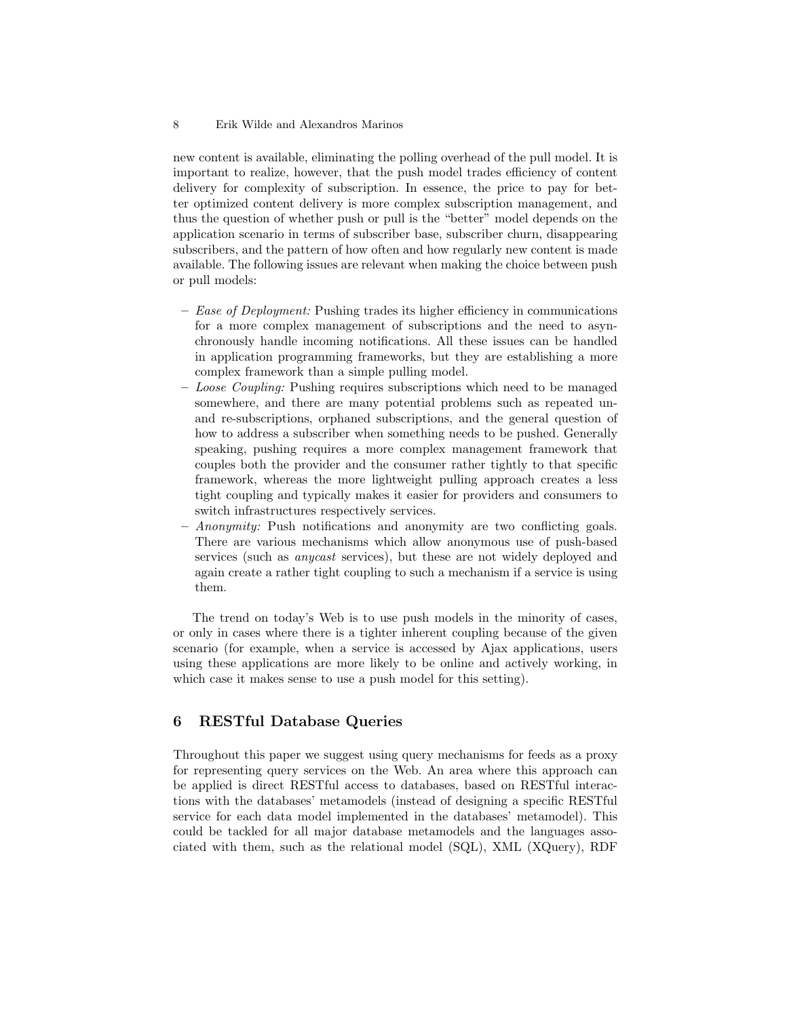new content is available, eliminating the polling overhead of the pull model. It is important to realize, however, that the push model trades efficiency of content delivery for complexity of subscription. In essence, the price to pay for better optimized content delivery is more complex subscription management, and thus the question of whether push or pull is the "better" model depends on the application scenario in terms of subscriber base, subscriber churn, disappearing subscribers, and the pattern of how often and how regularly new content is made available. The following issues are relevant when making the choice between push or pull models:

- Ease of Deployment: Pushing trades its higher efficiency in communications for a more complex management of subscriptions and the need to asynchronously handle incoming notifications. All these issues can be handled in application programming frameworks, but they are establishing a more complex framework than a simple pulling model.
- Loose Coupling: Pushing requires subscriptions which need to be managed somewhere, and there are many potential problems such as repeated unand re-subscriptions, orphaned subscriptions, and the general question of how to address a subscriber when something needs to be pushed. Generally speaking, pushing requires a more complex management framework that couples both the provider and the consumer rather tightly to that specific framework, whereas the more lightweight pulling approach creates a less tight coupling and typically makes it easier for providers and consumers to switch infrastructures respectively services.
- Anonymity: Push notifications and anonymity are two conflicting goals. There are various mechanisms which allow anonymous use of push-based services (such as *anycast* services), but these are not widely deployed and again create a rather tight coupling to such a mechanism if a service is using them.

The trend on today's Web is to use push models in the minority of cases, or only in cases where there is a tighter inherent coupling because of the given scenario (for example, when a service is accessed by Ajax applications, users using these applications are more likely to be online and actively working, in which case it makes sense to use a push model for this setting).

#### 6 RESTful Database Queries

Throughout this paper we suggest using query mechanisms for feeds as a proxy for representing query services on the Web. An area where this approach can be applied is direct RESTful access to databases, based on RESTful interactions with the databases' metamodels (instead of designing a specific RESTful service for each data model implemented in the databases' metamodel). This could be tackled for all major database metamodels and the languages associated with them, such as the relational model (SQL), XML (XQuery), RDF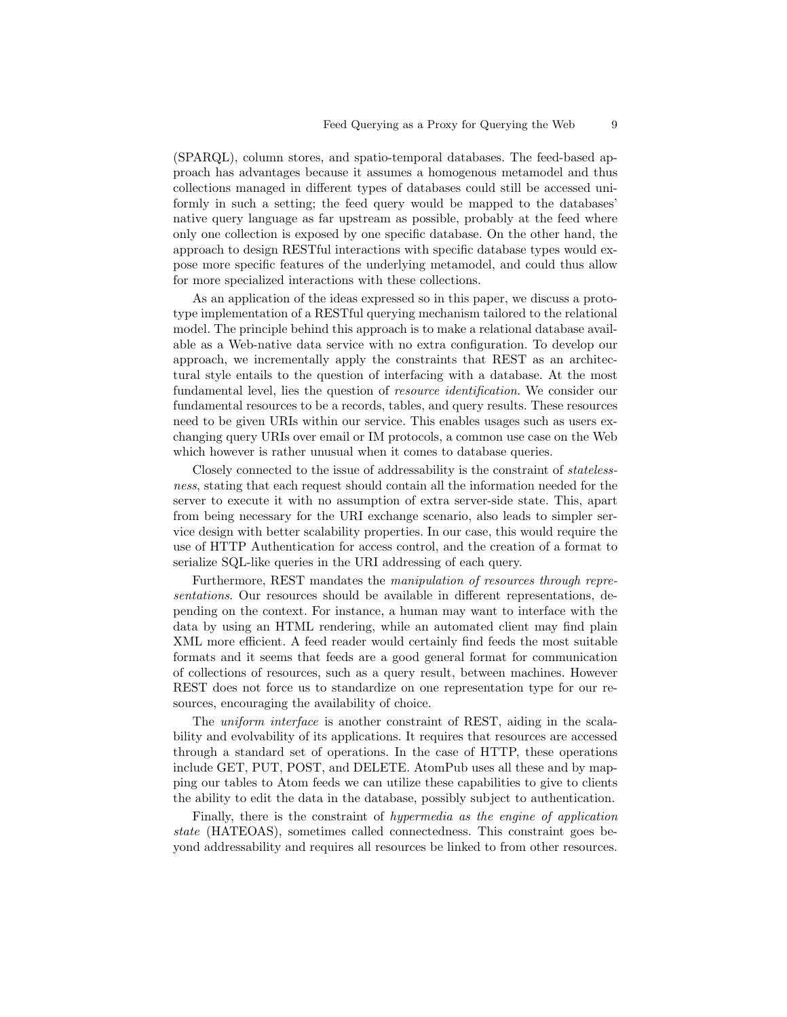(SPARQL), column stores, and spatio-temporal databases. The feed-based approach has advantages because it assumes a homogenous metamodel and thus collections managed in different types of databases could still be accessed uniformly in such a setting; the feed query would be mapped to the databases' native query language as far upstream as possible, probably at the feed where only one collection is exposed by one specific database. On the other hand, the approach to design RESTful interactions with specific database types would expose more specific features of the underlying metamodel, and could thus allow for more specialized interactions with these collections.

As an application of the ideas expressed so in this paper, we discuss a prototype implementation of a RESTful querying mechanism tailored to the relational model. The principle behind this approach is to make a relational database available as a Web-native data service with no extra configuration. To develop our approach, we incrementally apply the constraints that REST as an architectural style entails to the question of interfacing with a database. At the most fundamental level, lies the question of resource identification. We consider our fundamental resources to be a records, tables, and query results. These resources need to be given URIs within our service. This enables usages such as users exchanging query URIs over email or IM protocols, a common use case on the Web which however is rather unusual when it comes to database queries.

Closely connected to the issue of addressability is the constraint of statelessness, stating that each request should contain all the information needed for the server to execute it with no assumption of extra server-side state. This, apart from being necessary for the URI exchange scenario, also leads to simpler service design with better scalability properties. In our case, this would require the use of HTTP Authentication for access control, and the creation of a format to serialize SQL-like queries in the URI addressing of each query.

Furthermore, REST mandates the manipulation of resources through representations. Our resources should be available in different representations, depending on the context. For instance, a human may want to interface with the data by using an HTML rendering, while an automated client may find plain XML more efficient. A feed reader would certainly find feeds the most suitable formats and it seems that feeds are a good general format for communication of collections of resources, such as a query result, between machines. However REST does not force us to standardize on one representation type for our resources, encouraging the availability of choice.

The uniform interface is another constraint of REST, aiding in the scalability and evolvability of its applications. It requires that resources are accessed through a standard set of operations. In the case of HTTP, these operations include GET, PUT, POST, and DELETE. AtomPub uses all these and by mapping our tables to Atom feeds we can utilize these capabilities to give to clients the ability to edit the data in the database, possibly subject to authentication.

Finally, there is the constraint of hypermedia as the engine of application state (HATEOAS), sometimes called connectedness. This constraint goes beyond addressability and requires all resources be linked to from other resources.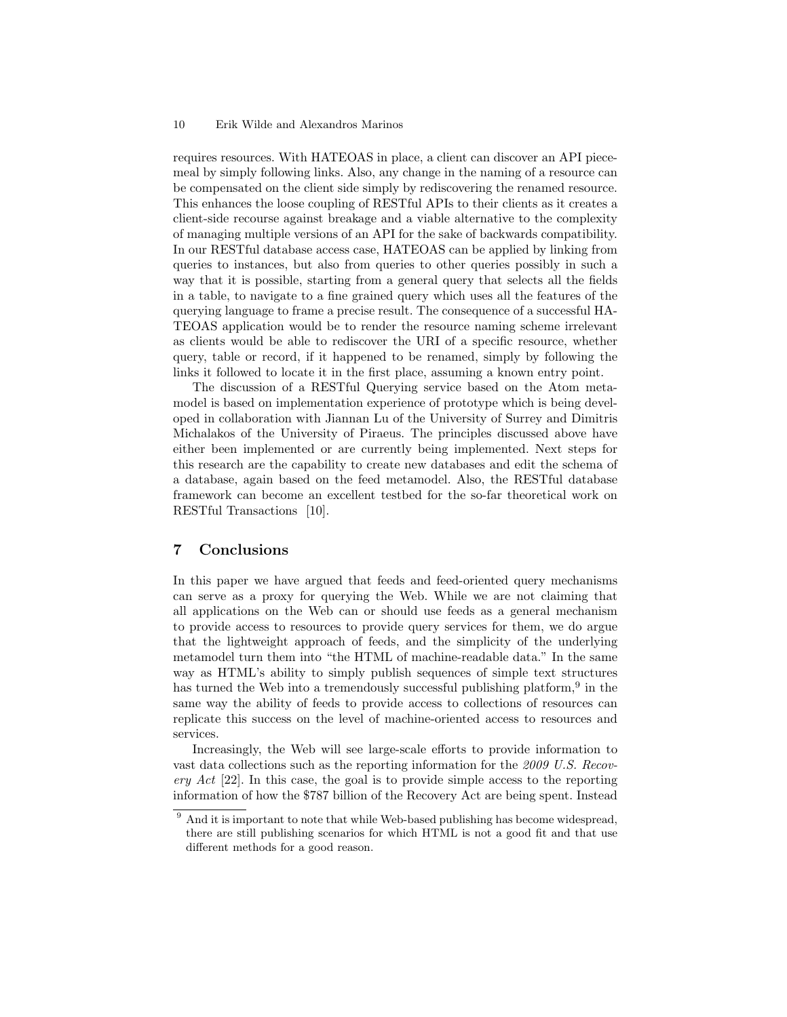requires resources. With HATEOAS in place, a client can discover an API piecemeal by simply following links. Also, any change in the naming of a resource can be compensated on the client side simply by rediscovering the renamed resource. This enhances the loose coupling of RESTful APIs to their clients as it creates a client-side recourse against breakage and a viable alternative to the complexity of managing multiple versions of an API for the sake of backwards compatibility. In our RESTful database access case, HATEOAS can be applied by linking from queries to instances, but also from queries to other queries possibly in such a way that it is possible, starting from a general query that selects all the fields in a table, to navigate to a fine grained query which uses all the features of the querying language to frame a precise result. The consequence of a successful HA-TEOAS application would be to render the resource naming scheme irrelevant as clients would be able to rediscover the URI of a specific resource, whether query, table or record, if it happened to be renamed, simply by following the links it followed to locate it in the first place, assuming a known entry point.

The discussion of a RESTful Querying service based on the Atom metamodel is based on implementation experience of prototype which is being developed in collaboration with Jiannan Lu of the University of Surrey and Dimitris Michalakos of the University of Piraeus. The principles discussed above have either been implemented or are currently being implemented. Next steps for this research are the capability to create new databases and edit the schema of a database, again based on the feed metamodel. Also, the RESTful database framework can become an excellent testbed for the so-far theoretical work on RESTful Transactions [10].

## 7 Conclusions

In this paper we have argued that feeds and feed-oriented query mechanisms can serve as a proxy for querying the Web. While we are not claiming that all applications on the Web can or should use feeds as a general mechanism to provide access to resources to provide query services for them, we do argue that the lightweight approach of feeds, and the simplicity of the underlying metamodel turn them into "the HTML of machine-readable data." In the same way as HTML's ability to simply publish sequences of simple text structures has turned the Web into a tremendously successful publishing platform,<sup>9</sup> in the same way the ability of feeds to provide access to collections of resources can replicate this success on the level of machine-oriented access to resources and services.

Increasingly, the Web will see large-scale efforts to provide information to vast data collections such as the reporting information for the 2009 U.S. Recovery Act  $[22]$ . In this case, the goal is to provide simple access to the reporting information of how the \$787 billion of the Recovery Act are being spent. Instead

<sup>&</sup>lt;sup>9</sup> And it is important to note that while Web-based publishing has become widespread, there are still publishing scenarios for which HTML is not a good fit and that use different methods for a good reason.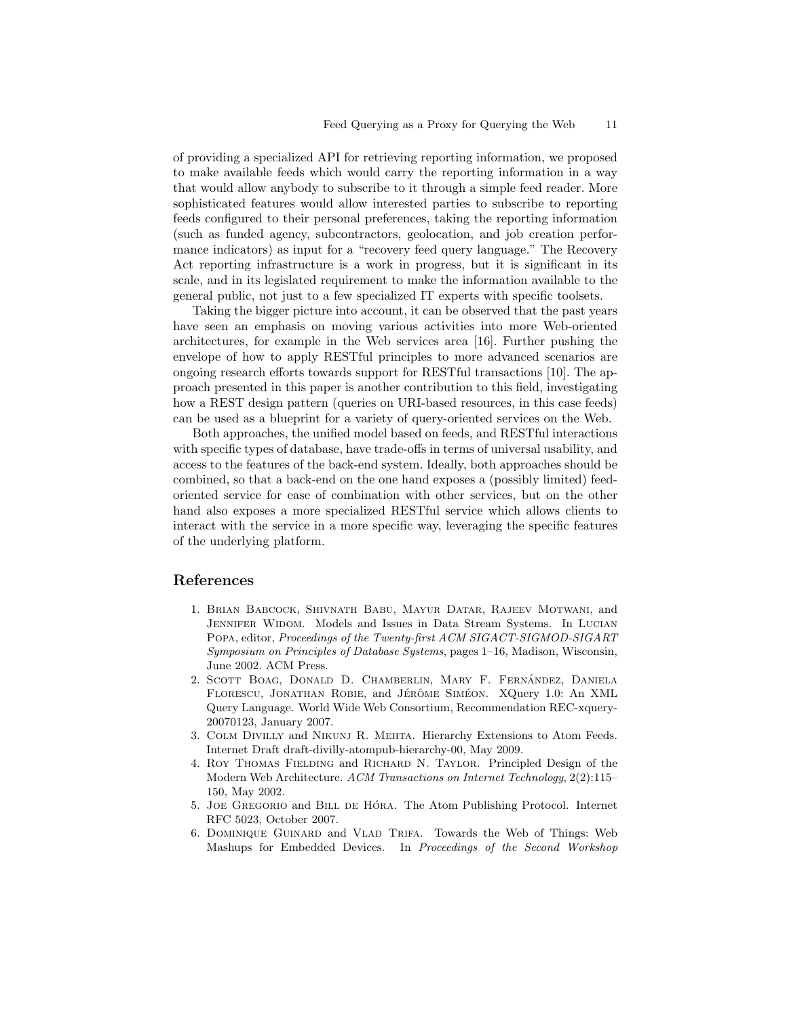of providing a specialized API for retrieving reporting information, we proposed to make available feeds which would carry the reporting information in a way that would allow anybody to subscribe to it through a simple feed reader. More sophisticated features would allow interested parties to subscribe to reporting feeds configured to their personal preferences, taking the reporting information (such as funded agency, subcontractors, geolocation, and job creation performance indicators) as input for a "recovery feed query language." The Recovery Act reporting infrastructure is a work in progress, but it is significant in its scale, and in its legislated requirement to make the information available to the general public, not just to a few specialized IT experts with specific toolsets.

Taking the bigger picture into account, it can be observed that the past years have seen an emphasis on moving various activities into more Web-oriented architectures, for example in the Web services area [16]. Further pushing the envelope of how to apply RESTful principles to more advanced scenarios are ongoing research efforts towards support for RESTful transactions [10]. The approach presented in this paper is another contribution to this field, investigating how a REST design pattern (queries on URI-based resources, in this case feeds) can be used as a blueprint for a variety of query-oriented services on the Web.

Both approaches, the unified model based on feeds, and RESTful interactions with specific types of database, have trade-offs in terms of universal usability, and access to the features of the back-end system. Ideally, both approaches should be combined, so that a back-end on the one hand exposes a (possibly limited) feedoriented service for ease of combination with other services, but on the other hand also exposes a more specialized RESTful service which allows clients to interact with the service in a more specific way, leveraging the specific features of the underlying platform.

#### References

- 1. Brian Babcock, Shivnath Babu, Mayur Datar, Rajeev Motwani, and Jennifer Widom. Models and Issues in Data Stream Systems. In Lucian Popa, editor, Proceedings of the Twenty-first ACM SIGACT-SIGMOD-SIGART Symposium on Principles of Database Systems, pages 1–16, Madison, Wisconsin, June 2002. ACM Press.
- 2. SCOTT BOAG, DONALD D. CHAMBERLIN, MARY F. FERNÁNDEZ, DANIELA FLORESCU, JONATHAN ROBIE, and JÉRÔME SIMÉON. XQuery 1.0: An XML Query Language. World Wide Web Consortium, Recommendation REC-xquery-20070123, January 2007.
- 3. Colm Divilly and Nikunj R. Mehta. Hierarchy Extensions to Atom Feeds. Internet Draft draft-divilly-atompub-hierarchy-00, May 2009.
- 4. Roy Thomas Fielding and Richard N. Taylor. Principled Design of the Modern Web Architecture. ACM Transactions on Internet Technology, 2(2):115– 150, May 2002.
- 5. JOE GREGORIO and BILL DE HÓRA. The Atom Publishing Protocol. Internet RFC 5023, October 2007.
- 6. Dominique Guinard and Vlad Trifa. Towards the Web of Things: Web Mashups for Embedded Devices. In Proceedings of the Second Workshop